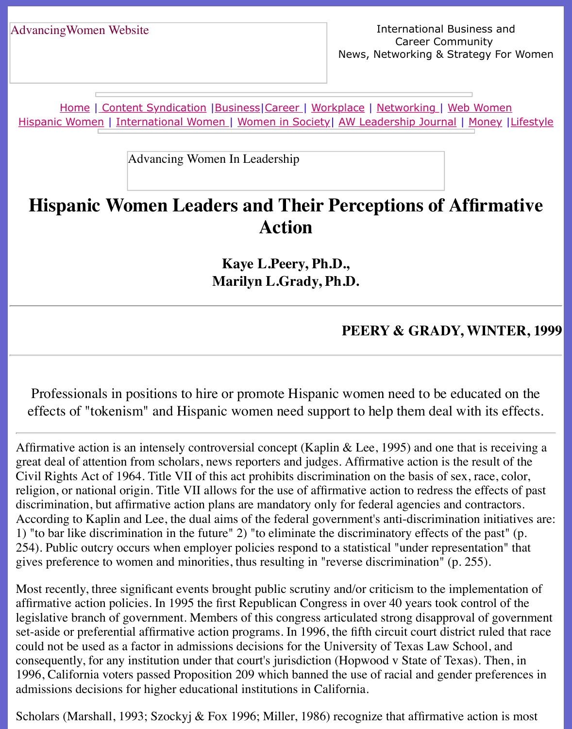Home | Content Syndication | Business | Career | Workplace | Networking | Web Wo Hispanic Women | International Women | Women in Society | AW Leadership Journal | Mon

Advancing Women In Leadership

# **[His](file:///hispanic.html)[pani](http://www.advancingwomen.com/index.html)[c Women Lead](file:///content.html)[ers an](file:///business.html)[d The](file:///awcareer.html)[ir Perc](file:///workplace.html)[e](file:///awl/awl.html)[ptions of](file:///networks.html) Affirm [Action](file:///Users/nrahman/Dropbox/AWL/womsoc/index.html)**

**Kaye L.Peery, Ph.D., Marilyn L.Grady, Ph.D.**

#### **PEERY & GRADY, WI**

Professionals in positions to hire or promote Hispanic women need to be educated professionals effects of "tokenism" and Hispanic women need support to help them deal with

Affirmative action is an intensely controversial concept (Kaplin & Lee, 1995) and one that is great deal of attention from scholars, news reporters and judges. Affirmative action is the res Civil Rights Act of 1964. Title VII of this act prohibits discrimination on the basis of sex, race religion, or national origin. Title VII allows for the use of affirmative action to redress the efdiscrimination, but affirmative action plans are mandatory only for federal agencies and cont According to Kaplin and Lee, the dual aims of the federal government's anti-discrimination in 1) "to bar like discrimination in the future" 2) "to eliminate the discriminatory effects of the 254). Public outcry occurs when employer policies respond to a statistical "under representation" gives preference to women and minorities, thus resulting in "reverse discrimination" (p. 255).

Most recently, three significant events brought public scrutiny and/or criticism to the implem affirmative action policies. In 1995 the first Republican Congress in over 40 years took control legislative branch of government. Members of this congress articulated strong disapproval of set-aside or preferential affirmative action programs. In 1996, the fifth circuit court district rule could not be used as a factor in admissions decisions for the University of Texas Law School consequently, for any institution under that court's jurisdiction (Hopwood v State of Texas). 1996, California voters passed Proposition 209 which banned the use of racial and gender pr admissions decisions for higher educational institutions in California.

Scholars (Marshall, 1993; Szockyj & Fox 1996; Miller, 1986) recognize that affirmative action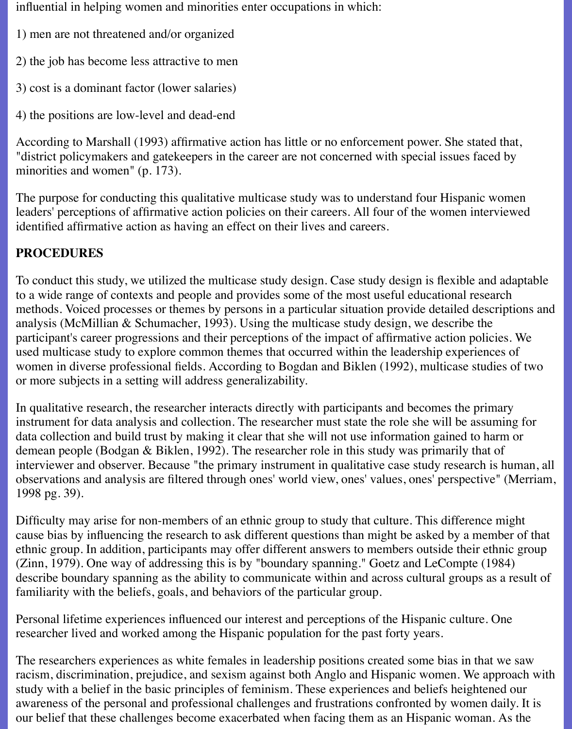influential in helping women and minorities enter occupations in which:

- 1) men are not threatened and/or organized
- 2) the job has become less attractive to men
- 3) cost is a dominant factor (lower salaries)
- 4) the positions are low-level and dead-end

According to Marshall (1993) affirmative action has little or no enforcement power. She stated that, "district policymakers and gatekeepers in the career are not concerned with special issues faced by minorities and women" (p. 173).

The purpose for conducting this qualitative multicase study was to understand four Hispanic women leaders' perceptions of affirmative action policies on their careers. All four of the women interviewed identified affirmative action as having an effect on their lives and careers.

# **PROCEDURES**

To conduct this study, we utilized the multicase study design. Case study design is flexible and adaptable to a wide range of contexts and people and provides some of the most useful educational research methods. Voiced processes or themes by persons in a particular situation provide detailed descriptions and analysis (McMillian & Schumacher, 1993). Using the multicase study design, we describe the participant's career progressions and their perceptions of the impact of affirmative action policies. We used multicase study to explore common themes that occurred within the leadership experiences of women in diverse professional fields. According to Bogdan and Biklen (1992), multicase studies of two or more subjects in a setting will address generalizability.

In qualitative research, the researcher interacts directly with participants and becomes the primary instrument for data analysis and collection. The researcher must state the role she will be assuming for data collection and build trust by making it clear that she will not use information gained to harm or demean people (Bodgan & Biklen, 1992). The researcher role in this study was primarily that of interviewer and observer. Because "the primary instrument in qualitative case study research is human, all observations and analysis are filtered through ones' world view, ones' values, ones' perspective" (Merriam, 1998 pg. 39).

Difficulty may arise for non-members of an ethnic group to study that culture. This difference might cause bias by influencing the research to ask different questions than might be asked by a member of that ethnic group. In addition, participants may offer different answers to members outside their ethnic group (Zinn, 1979). One way of addressing this is by "boundary spanning." Goetz and LeCompte (1984) describe boundary spanning as the ability to communicate within and across cultural groups as a result of familiarity with the beliefs, goals, and behaviors of the particular group.

Personal lifetime experiences influenced our interest and perceptions of the Hispanic culture. One researcher lived and worked among the Hispanic population for the past forty years.

The researchers experiences as white females in leadership positions created some bias in that we saw racism, discrimination, prejudice, and sexism against both Anglo and Hispanic women. We approach with study with a belief in the basic principles of feminism. These experiences and beliefs heightened our awareness of the personal and professional challenges and frustrations confronted by women daily. It is our belief that these challenges become exacerbated when facing them as an Hispanic woman. As the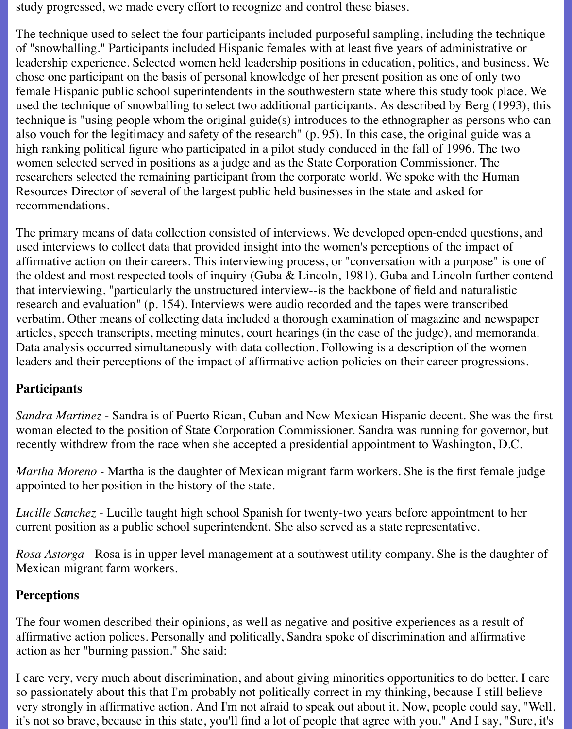study progressed, we made every effort to recognize and control these biases.

The technique used to select the four participants included purposeful sampling, including the technique of "snowballing." Participants included Hispanic females with at least five years of administrative or leadership experience. Selected women held leadership positions in education, politics, and business. We chose one participant on the basis of personal knowledge of her present position as one of only two female Hispanic public school superintendents in the southwestern state where this study took place. We used the technique of snowballing to select two additional participants. As described by Berg (1993), this technique is "using people whom the original guide(s) introduces to the ethnographer as persons who can also vouch for the legitimacy and safety of the research" (p. 95). In this case, the original guide was a high ranking political figure who participated in a pilot study conduced in the fall of 1996. The two women selected served in positions as a judge and as the State Corporation Commissioner. The researchers selected the remaining participant from the corporate world. We spoke with the Human Resources Director of several of the largest public held businesses in the state and asked for recommendations.

The primary means of data collection consisted of interviews. We developed open-ended questions, and used interviews to collect data that provided insight into the women's perceptions of the impact of affirmative action on their careers. This interviewing process, or "conversation with a purpose" is one of the oldest and most respected tools of inquiry (Guba & Lincoln, 1981). Guba and Lincoln further contend that interviewing, "particularly the unstructured interview--is the backbone of field and naturalistic research and evaluation" (p. 154). Interviews were audio recorded and the tapes were transcribed verbatim. Other means of collecting data included a thorough examination of magazine and newspaper articles, speech transcripts, meeting minutes, court hearings (in the case of the judge), and memoranda. Data analysis occurred simultaneously with data collection. Following is a description of the women leaders and their perceptions of the impact of affirmative action policies on their career progressions.

#### **Participants**

*Sandra Martinez* - Sandra is of Puerto Rican, Cuban and New Mexican Hispanic decent. She was the first woman elected to the position of State Corporation Commissioner. Sandra was running for governor, but recently withdrew from the race when she accepted a presidential appointment to Washington, D.C.

*Martha Moreno* - Martha is the daughter of Mexican migrant farm workers. She is the first female judge appointed to her position in the history of the state.

*Lucille Sanchez* - Lucille taught high school Spanish for twenty-two years before appointment to her current position as a public school superintendent. She also served as a state representative.

*Rosa Astorga* - Rosa is in upper level management at a southwest utility company. She is the daughter of Mexican migrant farm workers.

#### **Perceptions**

The four women described their opinions, as well as negative and positive experiences as a result of affirmative action polices. Personally and politically, Sandra spoke of discrimination and affirmative action as her "burning passion." She said:

I care very, very much about discrimination, and about giving minorities opportunities to do better. I care so passionately about this that I'm probably not politically correct in my thinking, because I still believe very strongly in affirmative action. And I'm not afraid to speak out about it. Now, people could say, "Well, it's not so brave, because in this state, you'll find a lot of people that agree with you." And I say, "Sure, it's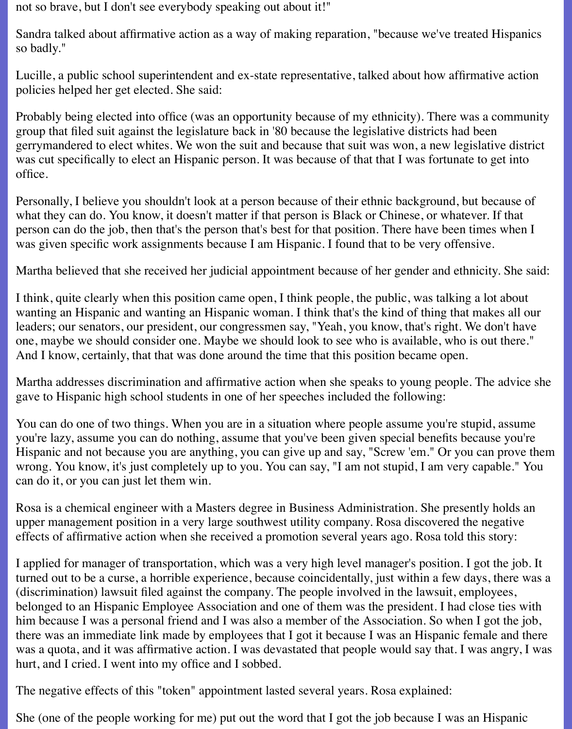not so brave, but I don't see everybody speaking out about it!"

Sandra talked about affirmative action as a way of making reparation, "because we've treated Hispanics so badly."

Lucille, a public school superintendent and ex-state representative, talked about how affirmative action policies helped her get elected. She said:

Probably being elected into office (was an opportunity because of my ethnicity). There was a community group that filed suit against the legislature back in '80 because the legislative districts had been gerrymandered to elect whites. We won the suit and because that suit was won, a new legislative district was cut specifically to elect an Hispanic person. It was because of that that I was fortunate to get into office.

Personally, I believe you shouldn't look at a person because of their ethnic background, but because of what they can do. You know, it doesn't matter if that person is Black or Chinese, or whatever. If that person can do the job, then that's the person that's best for that position. There have been times when I was given specific work assignments because I am Hispanic. I found that to be very offensive.

Martha believed that she received her judicial appointment because of her gender and ethnicity. She said:

I think, quite clearly when this position came open, I think people, the public, was talking a lot about wanting an Hispanic and wanting an Hispanic woman. I think that's the kind of thing that makes all our leaders; our senators, our president, our congressmen say, "Yeah, you know, that's right. We don't have one, maybe we should consider one. Maybe we should look to see who is available, who is out there." And I know, certainly, that that was done around the time that this position became open.

Martha addresses discrimination and affirmative action when she speaks to young people. The advice she gave to Hispanic high school students in one of her speeches included the following:

You can do one of two things. When you are in a situation where people assume you're stupid, assume you're lazy, assume you can do nothing, assume that you've been given special benefits because you're Hispanic and not because you are anything, you can give up and say, "Screw 'em." Or you can prove them wrong. You know, it's just completely up to you. You can say, "I am not stupid, I am very capable." You can do it, or you can just let them win.

Rosa is a chemical engineer with a Masters degree in Business Administration. She presently holds an upper management position in a very large southwest utility company. Rosa discovered the negative effects of affirmative action when she received a promotion several years ago. Rosa told this story:

I applied for manager of transportation, which was a very high level manager's position. I got the job. It turned out to be a curse, a horrible experience, because coincidentally, just within a few days, there was a (discrimination) lawsuit filed against the company. The people involved in the lawsuit, employees, belonged to an Hispanic Employee Association and one of them was the president. I had close ties with him because I was a personal friend and I was also a member of the Association. So when I got the job, there was an immediate link made by employees that I got it because I was an Hispanic female and there was a quota, and it was affirmative action. I was devastated that people would say that. I was angry, I was hurt, and I cried. I went into my office and I sobbed.

The negative effects of this "token" appointment lasted several years. Rosa explained:

She (one of the people working for me) put out the word that I got the job because I was an Hispanic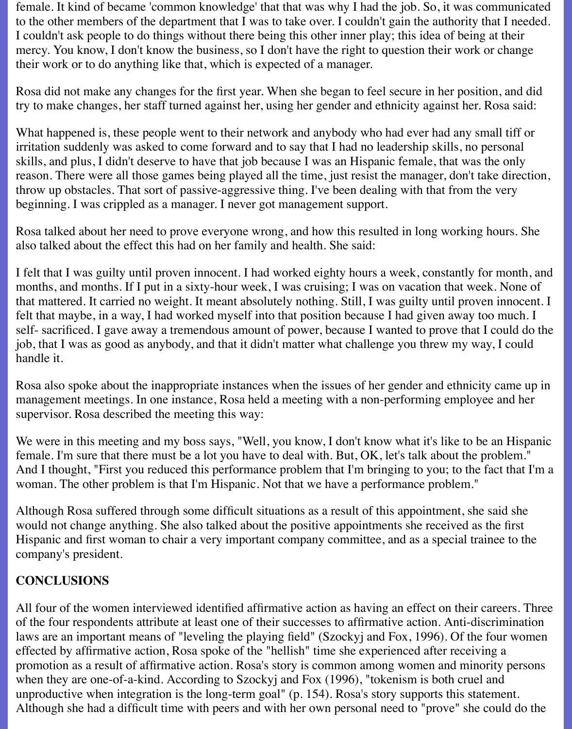female. It kind of became 'common knowledge' that that was why I had the job. So, it was communicated to the other members of the department that I was to take over. I couldn't gain the authority that I needed. I couldn't ask people to do things without there being this other inner play; this idea of being at their mercy. You know, I don't know the business, so I don't have the right to question their work or change their work or to do anything like that, which is expected of a manager.

Rosa did not make any changes for the first year. When she began to feel secure in her position, and did try to make changes, her staff turned against her, using her gender and ethnicity against her. Rosa said:

What happened is, these people went to their network and anybody who had ever had any small tiff or irritation suddenly was asked to come forward and to say that I had no leadership skills, no personal skills, and plus, I didn't deserve to have that job because I was an Hispanic female, that was the only reason. There were all those games being played all the time, just resist the manager, don't take direction, throw up obstacles. That sort of passive-aggressive thing. I've been dealing with that from the very beginning. I was crippled as a manager. I never got management support.

Rosa talked about her need to prove everyone wrong, and how this resulted in long working hours. She also talked about the effect this had on her family and health. She said:

I felt that I was guilty until proven innocent. I had worked eighty hours a week, constantly for month, and months, and months. If I put in a sixty-hour week, I was cruising; I was on vacation that week. None of that mattered. It carried no weight. It meant absolutely nothing. Still, I was guilty until proven innocent. I felt that maybe, in a way, I had worked myself into that position because I had given away too much. I self- sacrificed. I gave away a tremendous amount of power, because I wanted to prove that I could do the job, that I was as good as anybody, and that it didn't matter what challenge you threw my way, I could handle it.

Rosa also spoke about the inappropriate instances when the issues of her gender and ethnicity came up in management meetings. In one instance, Rosa held a meeting with a non-performing employee and her supervisor. Rosa described the meeting this way:

We were in this meeting and my boss says, "Well, you know, I don't know what it's like to be an Hispanic female. I'm sure that there must be a lot you have to deal with. But, OK, let's talk about the problem." And I thought, "First you reduced this performance problem that I'm bringing to you; to the fact that I'm a woman. The other problem is that I'm Hispanic. Not that we have a performance problem."

Although Rosa suffered through some difficult situations as a result of this appointment, she said she would not change anything. She also talked about the positive appointments she received as the first Hispanic and first woman to chair a very important company committee, and as a special trainee to the company's president.

## **CONCLUSIONS**

All four of the women interviewed identified affirmative action as having an effect on their careers. Three of the four respondents attribute at least one of their successes to affirmative action. Anti-discrimination laws are an important means of "leveling the playing field" (Szockyj and Fox, 1996). Of the four women effected by affirmative action, Rosa spoke of the "hellish" time she experienced after receiving a promotion as a result of affirmative action. Rosa's story is common among women and minority persons when they are one-of-a-kind. According to Szockyj and Fox (1996), "tokenism is both cruel and unproductive when integration is the long-term goal" (p. 154). Rosa's story supports this statement. Although she had a difficult time with peers and with her own personal need to "prove" she could do the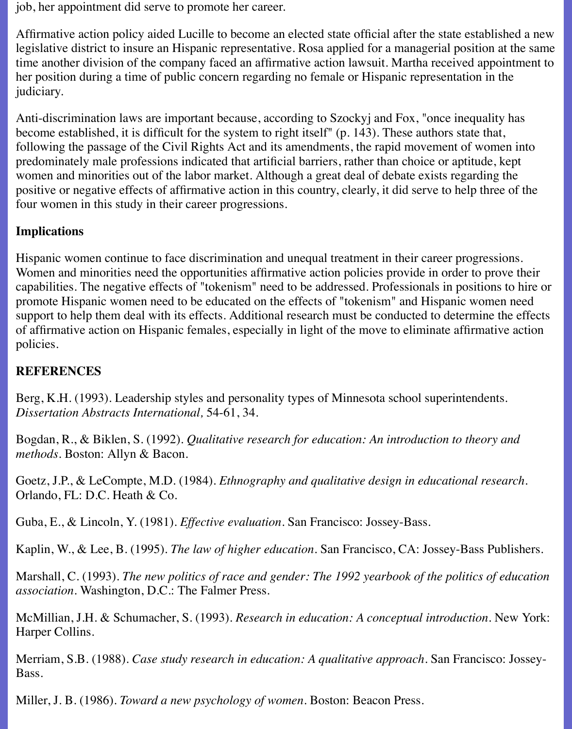job, her appointment did serve to promote her career.

Affirmative action policy aided Lucille to become an elected state official after the state established a new legislative district to insure an Hispanic representative. Rosa applied for a managerial position at the same time another division of the company faced an affirmative action lawsuit. Martha received appointment to her position during a time of public concern regarding no female or Hispanic representation in the judiciary.

Anti-discrimination laws are important because, according to Szockyj and Fox, "once inequality has become established, it is difficult for the system to right itself" (p. 143). These authors state that, following the passage of the Civil Rights Act and its amendments, the rapid movement of women into predominately male professions indicated that artificial barriers, rather than choice or aptitude, kept women and minorities out of the labor market. Although a great deal of debate exists regarding the positive or negative effects of affirmative action in this country, clearly, it did serve to help three of the four women in this study in their career progressions.

#### **Implications**

Hispanic women continue to face discrimination and unequal treatment in their career progressions. Women and minorities need the opportunities affirmative action policies provide in order to prove their capabilities. The negative effects of "tokenism" need to be addressed. Professionals in positions to hire or promote Hispanic women need to be educated on the effects of "tokenism" and Hispanic women need support to help them deal with its effects. Additional research must be conducted to determine the effects of affirmative action on Hispanic females, especially in light of the move to eliminate affirmative action policies.

#### **REFERENCES**

Berg, K.H. (1993). Leadership styles and personality types of Minnesota school superintendents. *Dissertation Abstracts International,* 54-61, 34.

Bogdan, R., & Biklen, S. (1992). *Qualitative research for education: An introduction to theory and methods.* Boston: Allyn & Bacon.

Goetz, J.P., & LeCompte, M.D. (1984). *Ethnography and qualitative design in educational research.* Orlando, FL: D.C. Heath & Co.

Guba, E., & Lincoln, Y. (1981). *Effective evaluation.* San Francisco: Jossey-Bass.

Kaplin, W., & Lee, B. (1995). *The law of higher education.* San Francisco, CA: Jossey-Bass Publishers.

Marshall, C. (1993). *The new politics of race and gender: The 1992 yearbook of the politics of education association.* Washington, D.C.: The Falmer Press.

McMillian, J.H. & Schumacher, S. (1993). *Research in education: A conceptual introduction.* New York: Harper Collins.

Merriam, S.B. (1988). *Case study research in education: A qualitative approach.* San Francisco: Jossey-Bass.

Miller, J. B. (1986). *Toward a new psychology of women.* Boston: Beacon Press.